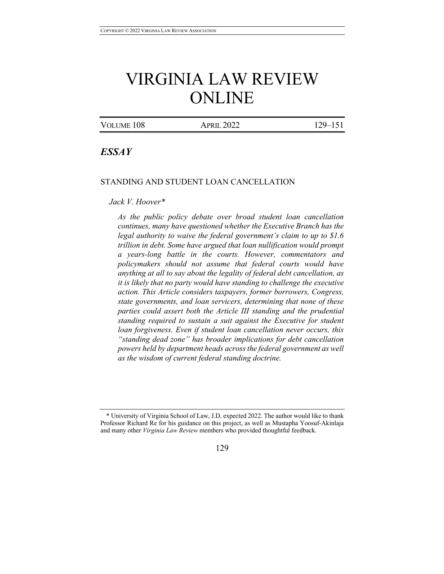# VIRGINIA LAW REVIEW ONLINE

VOLUME 108 APRIL 2022 129-151

# *ESSAY*

#### STANDING AND STUDENT LOAN CANCELLATION

# *Jack V. Hoover\**

*As the public policy debate over broad student loan cancellation continues, many have questioned whether the Executive Branch has the legal authority to waive the federal government's claim to up to \$1.6 trillion in debt. Some have argued that loan nullification would prompt a years-long battle in the courts. However, commentators and policymakers should not assume that federal courts would have anything at all to say about the legality of federal debt cancellation, as it is likely that no party would have standing to challenge the executive action. This Article considers taxpayers, former borrowers, Congress, state governments, and loan servicers, determining that none of these parties could assert both the Article III standing and the prudential standing required to sustain a suit against the Executive for student loan forgiveness. Even if student loan cancellation never occurs, this "standing dead zone" has broader implications for debt cancellation powers held by department heads across the federal government as well as the wisdom of current federal standing doctrine.*

<sup>\*</sup> University of Virginia School of Law, J.D. expected 2022. The author would like to thank Professor Richard Re for his guidance on this project, as well as Mustapha Yoosuf-Akinlaja and many other *Virginia Law Review* members who provided thoughtful feedback.

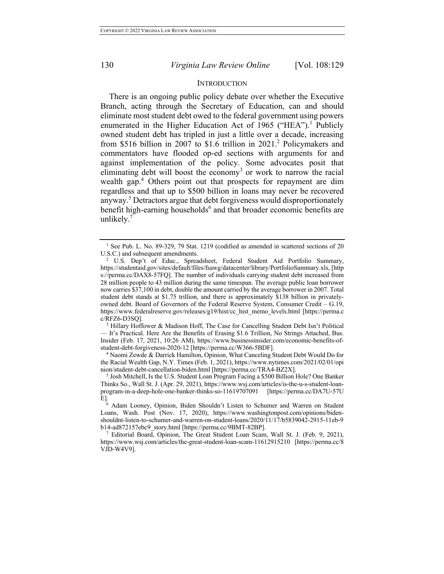#### **INTRODUCTION**

There is an ongoing public policy debate over whether the Executive Branch, acting through the Secretary of Education, can and should eliminate most student debt owed to the federal government using powers enumerated in the Higher Education Act of 1965 ("HEA").<sup>1</sup> Publicly owned student debt has tripled in just a little over a decade, increasing from \$516 billion in 2007 to \$1.6 trillion in 2021.2 Policymakers and commentators have flooded op-ed sections with arguments for and against implementation of the policy. Some advocates posit that eliminating debt will boost the economy<sup>3</sup> or work to narrow the racial wealth gap.<sup>4</sup> Others point out that prospects for repayment are dim regardless and that up to \$500 billion in loans may never be recovered anyway.<sup>5</sup> Detractors argue that debt forgiveness would disproportionately benefit high-earning households<sup>6</sup> and that broader economic benefits are unlikely. $7$ 

<sup>3</sup> Hillary Hoffower & Madison Hoff, The Case for Cancelling Student Debt Isn't Political — It's Practical. Here Are the Benefits of Erasing \$1.6 Trillion, No Strings Attached, Bus. Insider (Feb. 17, 2021, 10:26 AM), https://www.businessinsider.com/economic-benefits-ofstudent-debt-forgiveness-2020-12 [https://perma.cc/W366-5BDF].

<sup>4</sup> Naomi Zewde & Darrick Hamilton, Opinion, What Canceling Student Debt Would Do for the Racial Wealth Gap, N.Y. Times (Feb. 1, 2021), https://www.nytimes.com/2021/02/01/opi nion/student-debt-cancellation-biden.html [https://perma.cc/TRA4-BZ2X].

<sup>&</sup>lt;sup>1</sup> See Pub. L. No. 89-329, 79 Stat. 1219 (codified as amended in scattered sections of 20 U.S.C.) and subsequent amendments.

<sup>&</sup>lt;sup>2</sup> U.S. Dep't of Educ., Spreadsheet, Federal Student Aid Portfolio Summary, https://studentaid.gov/sites/default/files/fsawg/datacenter/library/PortfolioSummary.xls, [http s://perma.cc/DAX8-57FQ]. The number of individuals carrying student debt increased from 28 million people to 43 million during the same timespan. The average public loan borrower now carries \$37,100 in debt, double the amount carried by the average borrower in 2007. Total student debt stands at \$1.75 trillion, and there is approximately \$138 billion in privatelyowned debt. Board of Governors of the Federal Reserve System, Consumer Credit – G.19, https://www.federalreserve.gov/releases/g19/hist/cc\_hist\_memo\_levels.html [https://perma.c c/RFZ6-D3SQ].

<sup>5</sup> Josh Mitchell, Is the U.S. Student Loan Program Facing a \$500 Billion Hole? One Banker Thinks So., Wall St. J. (Apr. 29, 2021), https://www.wsj.com/articles/is-the-u-s-student-loanprogram-in-a-deep-hole-one-banker-thinks-so-11619707091 [https://perma.cc/DA7U-57U E].

<sup>&</sup>lt;sup>6</sup> Adam Looney, Opinion, Biden Shouldn't Listen to Schumer and Warren on Student Loans, Wash. Post (Nov. 17, 2020), https://www.washingtonpost.com/opinions/bidenshouldnt-listen-to-schumer-and-warren-on-student-loans/2020/11/17/b5839042-2915-11eb-9 b14-ad872157ebc9\_story.html [https://perma.cc/9BMT-82BP].

<sup>7</sup> Editorial Board, Opinion, The Great Student Loan Scam, Wall St. J. (Feb. 9, 2021), https://www.wsj.com/articles/the-great-student-loan-scam-11612915210 [https://perma.cc/8 VJD-W4V9].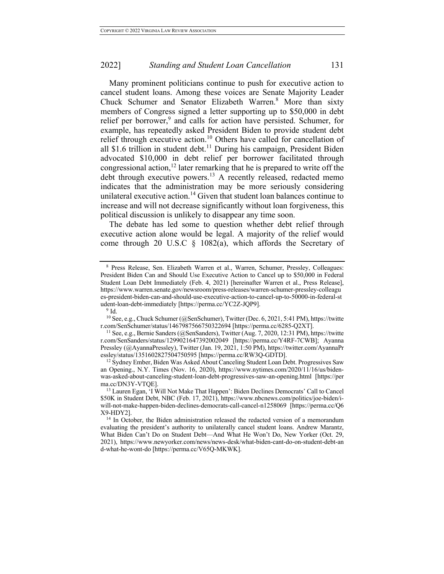Many prominent politicians continue to push for executive action to cancel student loans. Among these voices are Senate Majority Leader Chuck Schumer and Senator Elizabeth Warren.<sup>8</sup> More than sixty members of Congress signed a letter supporting up to \$50,000 in debt relief per borrower,<sup>9</sup> and calls for action have persisted. Schumer, for example, has repeatedly asked President Biden to provide student debt relief through executive action.<sup>10</sup> Others have called for cancellation of all \$1.6 trillion in student debt.<sup>11</sup> During his campaign, President Biden advocated \$10,000 in debt relief per borrower facilitated through congressional action,<sup>12</sup> later remarking that he is prepared to write off the debt through executive powers.<sup>13</sup> A recently released, redacted memo indicates that the administration may be more seriously considering unilateral executive action.<sup>14</sup> Given that student loan balances continue to increase and will not decrease significantly without loan forgiveness, this political discussion is unlikely to disappear any time soon.

The debate has led some to question whether debt relief through executive action alone would be legal. A majority of the relief would come through 20 U.S.C § 1082(a), which affords the Secretary of

<sup>8</sup> Press Release, Sen. Elizabeth Warren et al., Warren, Schumer, Pressley, Colleagues: President Biden Can and Should Use Executive Action to Cancel up to \$50,000 in Federal Student Loan Debt Immediately (Feb. 4, 2021) [hereinafter Warren et al., Press Release], https://www.warren.senate.gov/newsroom/press-releases/warren-schumer-pressley-colleagu es-president-biden-can-and-should-use-executive-action-to-cancel-up-to-50000-in-federal-st udent-loan-debt-immediately [https://perma.cc/YC2Z-JQP9].

<sup>9</sup> Id.

<sup>10</sup> See, e.g., Chuck Schumer (@SenSchumer), Twitter (Dec. 6, 2021, 5:41 PM), https://twitte r.com/SenSchumer/status/1467987566750322694 [https://perma.cc/6285-Q2XT].

<sup>11</sup> See, e.g., Bernie Sanders (@SenSanders), Twitter (Aug. 7, 2020, 12:31 PM), https://twitte r.com/SenSanders/status/1299021647392002049 [https://perma.cc/Y4RF-7CWB]; Ayanna Pressley (@AyannaPressley), Twitter (Jan. 19, 2021, 1:50 PM), https://twitter.com/AyannaPr essley/status/1351602827504750595 [https://perma.cc/RW3Q-GDTD].

<sup>&</sup>lt;sup>12</sup> Sydney Ember, Biden Was Asked About Canceling Student Loan Debt. Progressives Saw an Opening., N.Y. Times (Nov. 16, 2020), https://www.nytimes.com/2020/11/16/us/bidenwas-asked-about-canceling-student-loan-debt-progressives-saw-an-opening.html [https://per ma.cc/DN3Y-VTQE].

<sup>&</sup>lt;sup>13</sup> Lauren Egan, 'I Will Not Make That Happen': Biden Declines Democrats' Call to Cancel \$50K in Student Debt, NBC (Feb. 17, 2021), https://www.nbcnews.com/politics/joe-biden/iwill-not-make-happen-biden-declines-democrats-call-cancel-n1258069 [https://perma.cc/Q6 X9-HDY2].

<sup>&</sup>lt;sup>14</sup> In October, the Biden administration released the redacted version of a memorandum evaluating the president's authority to unilaterally cancel student loans. Andrew Marantz, What Biden Can't Do on Student Debt—And What He Won't Do, New Yorker (Oct. 29, 2021), https://www.newyorker.com/news/news-desk/what-biden-cant-do-on-student-debt-an d-what-he-wont-do [https://perma.cc/V65Q-MKWK].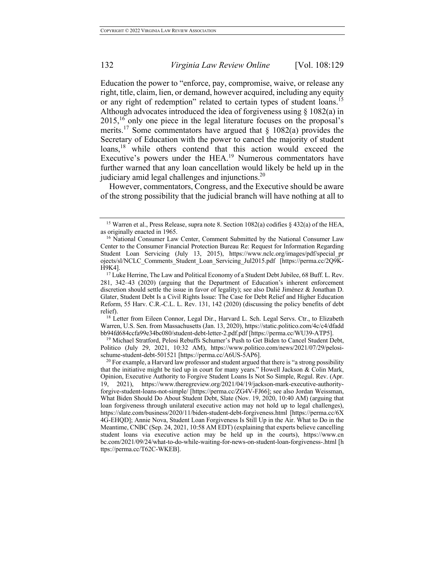Education the power to "enforce, pay, compromise, waive, or release any right, title, claim, lien, or demand, however acquired, including any equity or any right of redemption" related to certain types of student loans.<sup>15</sup> Although advocates introduced the idea of forgiveness using  $\S$  1082(a) in  $2015$ , <sup>16</sup> only one piece in the legal literature focuses on the proposal's merits.<sup>17</sup> Some commentators have argued that  $\S$  1082(a) provides the Secretary of Education with the power to cancel the majority of student loans,<sup>18</sup> while others contend that this action would exceed the Executive's powers under the  $HEA<sup>19</sup>$  Numerous commentators have further warned that any loan cancellation would likely be held up in the judiciary amid legal challenges and injunctions.20

However, commentators, Congress, and the Executive should be aware of the strong possibility that the judicial branch will have nothing at all to

Warren, U.S. Sen. from Massachusetts (Jan. 13, 2020), https://static.politico.com/4c/c4/dfadd bb94fd684ccfa99e34bc080/student-debt-letter-2.pdf.pdf [https://perma.cc/WU39-ATP5].

<sup>19</sup> Michael Stratford, Pelosi Rebuffs Schumer's Push to Get Biden to Cancel Student Debt, Politico (July 29, 2021, 10:32 AM), https://www.politico.com/news/2021/07/29/pelosischume-student-debt-501521 [https://perma.cc/A6US-5AP6].

<sup>&</sup>lt;sup>15</sup> Warren et al., Press Release, supra note 8. Section 1082(a) codifies § 432(a) of the HEA, as originally enacted in 1965.

<sup>&</sup>lt;sup>16</sup> National Consumer Law Center, Comment Submitted by the National Consumer Law Center to the Consumer Financial Protection Bureau Re: Request for Information Regarding Student Loan Servicing (July 13, 2015), https://www.nclc.org/images/pdf/special\_pr ojects/sl/NCLC\_Comments\_Student\_Loan\_Servicing\_Jul2015.pdf [https://perma.cc/2Q9K-H9K4].

<sup>&</sup>lt;sup>17</sup> Luke Herrine, The Law and Political Economy of a Student Debt Jubilee, 68 Buff. L. Rev. 281, 342–43 (2020) (arguing that the Department of Education's inherent enforcement discretion should settle the issue in favor of legality); see also Dalié Jiménez & Jonathan D. Glater, Student Debt Is a Civil Rights Issue: The Case for Debt Relief and Higher Education Reform, 55 Harv. C.R.-C.L. L. Rev. 131, 142 (2020) (discussing the policy benefits of debt relief).<br><sup>18</sup> Letter from Eileen Connor, Legal Dir., Harvard L. Sch. Legal Servs. Ctr., to Elizabeth

 $^{20}$  For example, a Harvard law professor and student argued that there is "a strong possibility that the initiative might be tied up in court for many years." Howell Jackson & Colin Mark, Opinion, Executive Authority to Forgive Student Loans Is Not So Simple, Regul. Rev. (Apr. 19, 2021), https://www.theregreview.org/2021/04/19/jackson-mark-executive-authorityforgive-student-loans-not-simple/ [https://perma.cc/ZG4V-FJ66]; see also Jordan Weissman, What Biden Should Do About Student Debt, Slate (Nov. 19, 2020, 10:40 AM) (arguing that loan forgiveness through unilateral executive action may not hold up to legal challenges), https://slate.com/business/2020/11/biden-student-debt-forgiveness.html [https://perma.cc/6X 4G-EHQD]; Annie Nova, Student Loan Forgiveness Is Still Up in the Air. What to Do in the Meantime, CNBC (Sep. 24, 2021, 10:58 AM EDT) (explaining that experts believe cancelling student loans via executive action may be held up in the courts), https://www.cn bc.com/2021/09/24/what-to-do-while-waiting-for-news-on-student-loan-forgiveness-.html [h ttps://perma.cc/T62C-WKEB].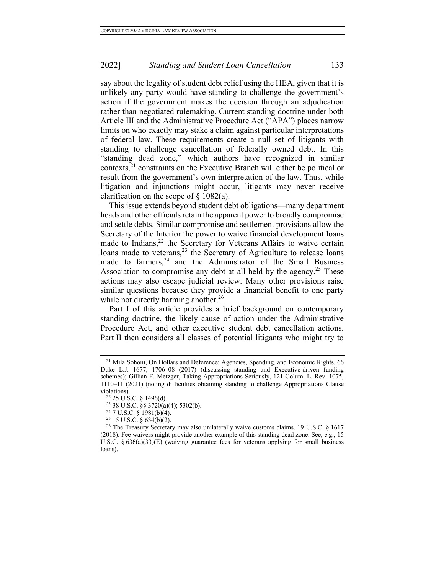say about the legality of student debt relief using the HEA, given that it is unlikely any party would have standing to challenge the government's action if the government makes the decision through an adjudication rather than negotiated rulemaking. Current standing doctrine under both Article III and the Administrative Procedure Act ("APA") places narrow limits on who exactly may stake a claim against particular interpretations of federal law. These requirements create a null set of litigants with standing to challenge cancellation of federally owned debt. In this "standing dead zone," which authors have recognized in similar contexts, $^{21}$  constraints on the Executive Branch will either be political or result from the government's own interpretation of the law. Thus, while litigation and injunctions might occur, litigants may never receive clarification on the scope of  $\S$  1082(a).

This issue extends beyond student debt obligations—many department heads and other officials retain the apparent power to broadly compromise and settle debts. Similar compromise and settlement provisions allow the Secretary of the Interior the power to waive financial development loans made to Indians, $^{22}$  the Secretary for Veterans Affairs to waive certain loans made to veterans,<sup>23</sup> the Secretary of Agriculture to release loans made to farmers, $24$  and the Administrator of the Small Business Association to compromise any debt at all held by the agency.<sup>25</sup> These actions may also escape judicial review. Many other provisions raise similar questions because they provide a financial benefit to one party while not directly harming another.<sup>26</sup>

Part I of this article provides a brief background on contemporary standing doctrine, the likely cause of action under the Administrative Procedure Act, and other executive student debt cancellation actions. Part II then considers all classes of potential litigants who might try to

<sup>&</sup>lt;sup>21</sup> Mila Sohoni, On Dollars and Deference: Agencies, Spending, and Economic Rights, 66 Duke L.J. 1677, 1706–08 (2017) (discussing standing and Executive-driven funding schemes); Gillian E. Metzger, Taking Appropriations Seriously, 121 Colum. L. Rev. 1075, 1110–11 (2021) (noting difficulties obtaining standing to challenge Appropriations Clause violations).

<sup>22</sup> 25 U.S.C. § 1496(d).

<sup>23</sup> 38 U.S.C. §§ 3720(a)(4); 5302(b).

<sup>24</sup> 7 U.S.C. § 1981(b)(4).

<sup>25</sup> 15 U.S.C. § 634(b)(2).

<sup>&</sup>lt;sup>26</sup> The Treasury Secretary may also unilaterally waive customs claims. 19 U.S.C. § 1617 (2018). Fee waivers might provide another example of this standing dead zone. See, e.g., 15 U.S.C.  $\S 636(a)(33)(E)$  (waiving guarantee fees for veterans applying for small business loans).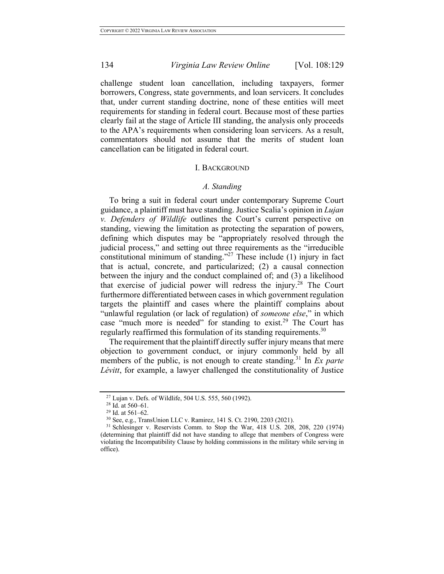challenge student loan cancellation, including taxpayers, former borrowers, Congress, state governments, and loan servicers. It concludes that, under current standing doctrine, none of these entities will meet requirements for standing in federal court. Because most of these parties clearly fail at the stage of Article III standing, the analysis only proceeds to the APA's requirements when considering loan servicers. As a result, commentators should not assume that the merits of student loan cancellation can be litigated in federal court.

#### I. BACKGROUND

#### *A. Standing*

To bring a suit in federal court under contemporary Supreme Court guidance, a plaintiff must have standing. Justice Scalia's opinion in *Lujan v. Defenders of Wildlife* outlines the Court's current perspective on standing, viewing the limitation as protecting the separation of powers, defining which disputes may be "appropriately resolved through the judicial process," and setting out three requirements as the "irreducible constitutional minimum of standing."<sup>27</sup> These include  $(1)$  injury in fact that is actual, concrete, and particularized; (2) a causal connection between the injury and the conduct complained of; and (3) a likelihood that exercise of judicial power will redress the injury.<sup>28</sup> The Court furthermore differentiated between cases in which government regulation targets the plaintiff and cases where the plaintiff complains about "unlawful regulation (or lack of regulation) of *someone else*," in which case "much more is needed" for standing to exist.<sup>29</sup> The Court has regularly reaffirmed this formulation of its standing requirements.<sup>30</sup>

The requirement that the plaintiff directly suffer injury means that mere objection to government conduct, or injury commonly held by all members of the public, is not enough to create standing.<sup>31</sup> In *Ex parte Lévitt*, for example, a lawyer challenged the constitutionality of Justice

<sup>27</sup> Lujan v. Defs. of Wildlife, 504 U.S. 555, 560 (1992).

<sup>28</sup> Id. at 560–61.

<sup>29</sup> Id. at 561–62.

<sup>30</sup> See, e.g., TransUnion LLC v. Ramirez, 141 S. Ct. 2190, 2203 (2021).

<sup>&</sup>lt;sup>31</sup> Schlesinger v. Reservists Comm. to Stop the War, 418 U.S. 208, 208, 220 (1974) (determining that plaintiff did not have standing to allege that members of Congress were violating the Incompatibility Clause by holding commissions in the military while serving in office).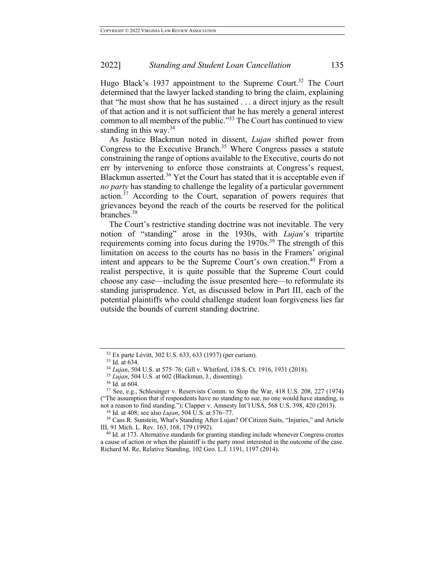Hugo Black's 1937 appointment to the Supreme Court.<sup>32</sup> The Court determined that the lawyer lacked standing to bring the claim, explaining that "he must show that he has sustained . . . a direct injury as the result of that action and it is not sufficient that he has merely a general interest common to all members of the public."33 The Court has continued to view standing in this way.<sup>34</sup>

As Justice Blackmun noted in dissent, *Lujan* shifted power from Congress to the Executive Branch.<sup>35</sup> Where Congress passes a statute constraining the range of options available to the Executive, courts do not err by intervening to enforce those constraints at Congress's request, Blackmun asserted.<sup>36</sup> Yet the Court has stated that it is acceptable even if *no party* has standing to challenge the legality of a particular government action.<sup>37</sup> According to the Court, separation of powers requires that grievances beyond the reach of the courts be reserved for the political branches.<sup>38</sup>

The Court's restrictive standing doctrine was not inevitable. The very notion of "standing" arose in the 1930s, with *Lujan*'s tripartite requirements coming into focus during the 1970s.<sup>39</sup> The strength of this limitation on access to the courts has no basis in the Framers' original intent and appears to be the Supreme Court's own creation.<sup>40</sup> From a realist perspective, it is quite possible that the Supreme Court could choose any case—including the issue presented here—to reformulate its standing jurisprudence. Yet, as discussed below in Part III, each of the potential plaintiffs who could challenge student loan forgiveness lies far outside the bounds of current standing doctrine.

<sup>38</sup> Id. at 408; see also *Lujan*, 504 U.S. at 576–77.

<sup>32</sup> Ex parte Lévitt, 302 U.S. 633, 633 (1937) (per curiam).

<sup>33</sup> Id. at 634.

<sup>34</sup> *Lujan*, 504 U.S. at 575–76; Gill v. Whitford, 138 S. Ct. 1916, 1931 (2018).

<sup>35</sup> *Lujan*, 504 U.S. at 602 (Blackmun, J., dissenting).

<sup>36</sup> Id. at 604.

<sup>37</sup> See, e.g., Schlesinger v. Reservists Comm. to Stop the War, 418 U.S. 208, 227 (1974) ("The assumption that if respondents have no standing to sue, no one would have standing, is not a reason to find standing."); Clapper v. Amnesty Int'l USA, 568 U.S. 398, 420 (2013).

<sup>39</sup> Cass R. Sunstein, What's Standing After Lujan? Of Citizen Suits, "Injuries," and Article III, 91 Mich. L. Rev. 163, 168, 179 (1992).

 $40$  Id. at 173. Alternative standards for granting standing include whenever Congress creates a cause of action or when the plaintiff is the party most interested in the outcome of the case. Richard M. Re, Relative Standing, 102 Geo. L.J. 1191, 1197 (2014).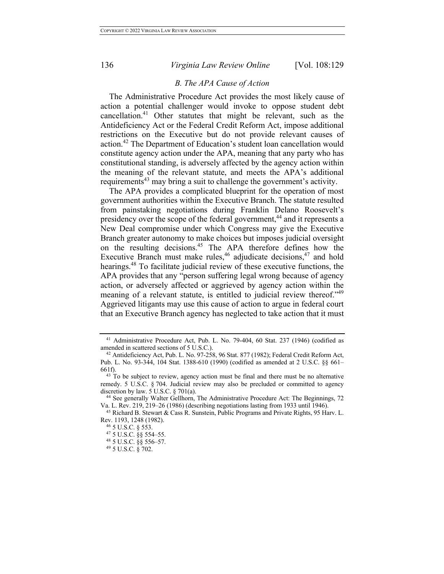# *B. The APA Cause of Action*

The Administrative Procedure Act provides the most likely cause of action a potential challenger would invoke to oppose student debt cancellation. <sup>41</sup> Other statutes that might be relevant, such as the Antideficiency Act or the Federal Credit Reform Act, impose additional restrictions on the Executive but do not provide relevant causes of action.<sup>42</sup> The Department of Education's student loan cancellation would constitute agency action under the APA, meaning that any party who has constitutional standing, is adversely affected by the agency action within the meaning of the relevant statute, and meets the APA's additional requirements<sup>43</sup> may bring a suit to challenge the government's activity.

The APA provides a complicated blueprint for the operation of most government authorities within the Executive Branch. The statute resulted from painstaking negotiations during Franklin Delano Roosevelt's presidency over the scope of the federal government,<sup>44</sup> and it represents a New Deal compromise under which Congress may give the Executive Branch greater autonomy to make choices but imposes judicial oversight on the resulting decisions.45 The APA therefore defines how the Executive Branch must make rules,<sup>46</sup> adjudicate decisions,<sup>47</sup> and hold hearings.<sup>48</sup> To facilitate judicial review of these executive functions, the APA provides that any "person suffering legal wrong because of agency action, or adversely affected or aggrieved by agency action within the meaning of a relevant statute, is entitled to judicial review thereof."<sup>49</sup> Aggrieved litigants may use this cause of action to argue in federal court that an Executive Branch agency has neglected to take action that it must

<sup>41</sup> Administrative Procedure Act, Pub. L. No. 79-404, 60 Stat. 237 (1946) (codified as amended in scattered sections of 5 U.S.C.).

<sup>42</sup> Antideficiency Act, Pub. L. No. 97-258, 96 Stat. 877 (1982); Federal Credit Reform Act, Pub. L. No. 93-344, 104 Stat. 1388-610 (1990) (codified as amended at 2 U.S.C. §§ 661– 661f).

<sup>&</sup>lt;sup>43</sup> To be subject to review, agency action must be final and there must be no alternative remedy. 5 U.S.C. § 704. Judicial review may also be precluded or committed to agency discretion by law.  $5$  U.S.C.  $§$  701(a).

<sup>44</sup> See generally Walter Gellhorn, The Administrative Procedure Act: The Beginnings, 72 Va. L. Rev. 219, 219–26 (1986) (describing negotiations lasting from 1933 until 1946).

<sup>&</sup>lt;sup>45</sup> Richard B. Stewart & Cass R. Sunstein, Public Programs and Private Rights, 95 Harv. L. Rev. 1193, 1248 (1982).

<sup>46</sup> 5 U.S.C. § 553.

<sup>47</sup> 5 U.S.C. §§ 554–55.

<sup>48</sup> 5 U.S.C. §§ 556–57.

<sup>49</sup> 5 U.S.C. § 702.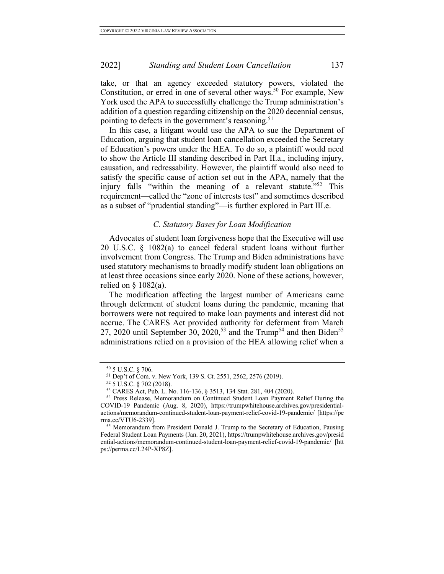take, or that an agency exceeded statutory powers, violated the Constitution, or erred in one of several other ways.<sup>50</sup> For example, New York used the APA to successfully challenge the Trump administration's addition of a question regarding citizenship on the 2020 decennial census, pointing to defects in the government's reasoning.<sup>51</sup>

In this case, a litigant would use the APA to sue the Department of Education, arguing that student loan cancellation exceeded the Secretary of Education's powers under the HEA. To do so, a plaintiff would need to show the Article III standing described in Part II.a., including injury, causation, and redressability. However, the plaintiff would also need to satisfy the specific cause of action set out in the APA, namely that the injury falls "within the meaning of a relevant statute."<sup>52</sup> This requirement—called the "zone of interests test" and sometimes described as a subset of "prudential standing"—is further explored in Part III.e.

## *C. Statutory Bases for Loan Modification*

Advocates of student loan forgiveness hope that the Executive will use 20 U.S.C. § 1082(a) to cancel federal student loans without further involvement from Congress. The Trump and Biden administrations have used statutory mechanisms to broadly modify student loan obligations on at least three occasions since early 2020. None of these actions, however, relied on  $\S$  1082(a).

The modification affecting the largest number of Americans came through deferment of student loans during the pandemic, meaning that borrowers were not required to make loan payments and interest did not accrue. The CARES Act provided authority for deferment from March 27, 2020 until September 30, 2020,<sup>53</sup> and the Trump<sup>54</sup> and then Biden<sup>55</sup> administrations relied on a provision of the HEA allowing relief when a

<sup>50</sup> 5 U.S.C. § 706.

<sup>51</sup> Dep't of Com. v. New York, 139 S. Ct. 2551, 2562, 2576 (2019).

<sup>52</sup> 5 U.S.C. § 702 (2018).

<sup>53</sup> CARES Act, Pub. L. No. 116-136, § 3513, 134 Stat. 281, 404 (2020).

<sup>54</sup> Press Release, Memorandum on Continued Student Loan Payment Relief During the COVID-19 Pandemic (Aug. 8, 2020), https://trumpwhitehouse.archives.gov/presidentialactions/memorandum-continued-student-loan-payment-relief-covid-19-pandemic/ [https://pe rma.cc/VTU6-2339].

<sup>&</sup>lt;sup>55</sup> Memorandum from President Donald J. Trump to the Secretary of Education, Pausing Federal Student Loan Payments (Jan. 20, 2021), https://trumpwhitehouse.archives.gov/presid ential-actions/memorandum-continued-student-loan-payment-relief-covid-19-pandemic/ [htt ps://perma.cc/L24P-XP8Z].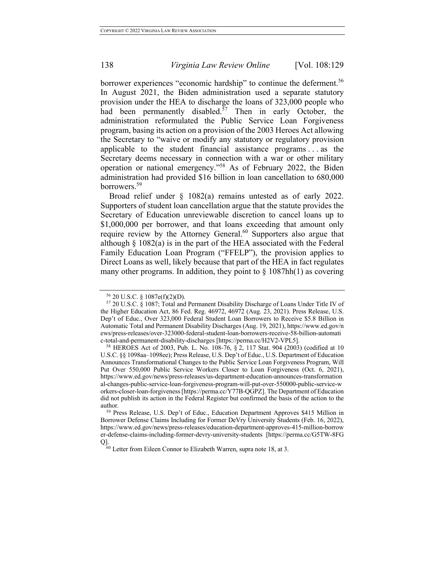borrower experiences "economic hardship" to continue the deferment.<sup>56</sup> In August 2021, the Biden administration used a separate statutory provision under the HEA to discharge the loans of 323,000 people who had been permanently disabled.<sup>57</sup> Then in early October, the administration reformulated the Public Service Loan Forgiveness program, basing its action on a provision of the 2003 Heroes Act allowing the Secretary to "waive or modify any statutory or regulatory provision applicable to the student financial assistance programs . . . as the Secretary deems necessary in connection with a war or other military operation or national emergency."58 As of February 2022, the Biden administration had provided \$16 billion in loan cancellation to 680,000 borrowers.<sup>59</sup>

Broad relief under § 1082(a) remains untested as of early 2022. Supporters of student loan cancellation argue that the statute provides the Secretary of Education unreviewable discretion to cancel loans up to \$1,000,000 per borrower, and that loans exceeding that amount only require review by the Attorney General.<sup>60</sup> Supporters also argue that although  $\S$  1082(a) is in the part of the HEA associated with the Federal Family Education Loan Program ("FFELP"), the provision applies to Direct Loans as well, likely because that part of the HEA in fact regulates many other programs. In addition, they point to  $\S$  1087hh(1) as covering

<sup>56</sup> 20 U.S.C. § 1087e(f)(2)(D).

<sup>57</sup> 20 U.S.C. § 1087; Total and Permanent Disability Discharge of Loans Under Title IV of the Higher Education Act, 86 Fed. Reg. 46972, 46972 (Aug. 23, 2021). Press Release, U.S. Dep't of Educ., Over 323,000 Federal Student Loan Borrowers to Receive \$5.8 Billion in Automatic Total and Permanent Disability Discharges (Aug. 19, 2021), https://www.ed.gov/n ews/press-releases/over-323000-federal-student-loan-borrowers-receive-58-billion-automati c-total-and-permanent-disability-discharges [https://perma.cc/H2V2-VPL5].

<sup>58</sup> HEROES Act of 2003, Pub. L. No. 108-76, § 2, 117 Stat. 904 (2003) (codified at 10 U.S.C. §§ 1098aa–1098ee); Press Release, U.S. Dep't of Educ., U.S. Department of Education Announces Transformational Changes to the Public Service Loan Forgiveness Program, Will Put Over 550,000 Public Service Workers Closer to Loan Forgiveness (Oct. 6, 2021), https://www.ed.gov/news/press-releases/us-department-education-announces-transformation al-changes-public-service-loan-forgiveness-program-will-put-over-550000-public-service-w orkers-closer-loan-forgiveness [https://perma.cc/Y77B-QGPZ]. The Department of Education did not publish its action in the Federal Register but confirmed the basis of the action to the author.

<sup>59</sup> Press Release, U.S. Dep't of Educ., Education Department Approves \$415 Million in Borrower Defense Claims Including for Former DeVry University Students (Feb. 16, 2022), https://www.ed.gov/news/press-releases/education-department-approves-415-million-borrow er-defense-claims-including-former-devry-university-students [https://perma.cc/G5TW-8FG Q].

 $60$  Letter from Eileen Connor to Elizabeth Warren, supra note 18, at 3.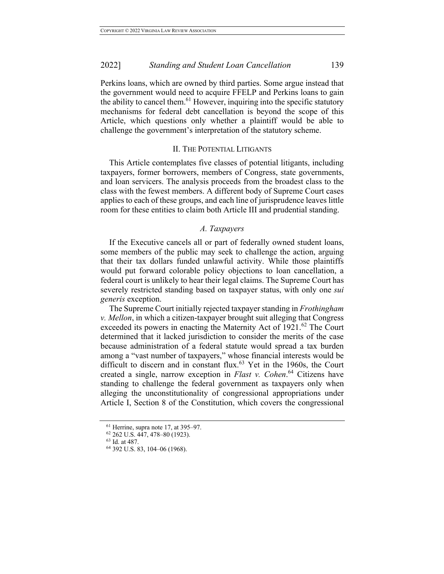Perkins loans, which are owned by third parties. Some argue instead that the government would need to acquire FFELP and Perkins loans to gain the ability to cancel them.<sup>61</sup> However, inquiring into the specific statutory mechanisms for federal debt cancellation is beyond the scope of this Article, which questions only whether a plaintiff would be able to challenge the government's interpretation of the statutory scheme.

#### II. THE POTENTIAL LITIGANTS

This Article contemplates five classes of potential litigants, including taxpayers, former borrowers, members of Congress, state governments, and loan servicers. The analysis proceeds from the broadest class to the class with the fewest members. A different body of Supreme Court cases applies to each of these groups, and each line of jurisprudence leaves little room for these entities to claim both Article III and prudential standing.

#### *A. Taxpayers*

If the Executive cancels all or part of federally owned student loans, some members of the public may seek to challenge the action, arguing that their tax dollars funded unlawful activity. While those plaintiffs would put forward colorable policy objections to loan cancellation, a federal court is unlikely to hear their legal claims. The Supreme Court has severely restricted standing based on taxpayer status, with only one *sui generis* exception.

The Supreme Court initially rejected taxpayer standing in *Frothingham v. Mellon*, in which a citizen-taxpayer brought suit alleging that Congress exceeded its powers in enacting the Maternity Act of 1921.<sup>62</sup> The Court determined that it lacked jurisdiction to consider the merits of the case because administration of a federal statute would spread a tax burden among a "vast number of taxpayers," whose financial interests would be difficult to discern and in constant flux.<sup>63</sup> Yet in the 1960s, the Court created a single, narrow exception in *Flast v. Cohen*. <sup>64</sup> Citizens have standing to challenge the federal government as taxpayers only when alleging the unconstitutionality of congressional appropriations under Article I, Section 8 of the Constitution, which covers the congressional

<sup>63</sup> Id. at 487.

 $61$  Herrine, supra note 17, at 395–97.

<sup>62</sup> 262 U.S. 447, 478–80 (1923).

<sup>64</sup> 392 U.S. 83, 104–06 (1968).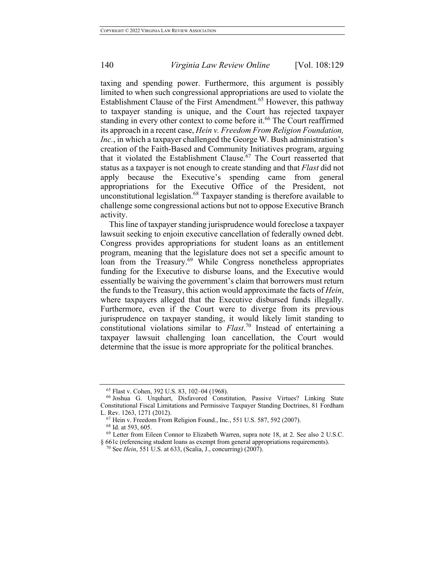taxing and spending power. Furthermore, this argument is possibly limited to when such congressional appropriations are used to violate the Establishment Clause of the First Amendment. <sup>65</sup> However, this pathway to taxpayer standing is unique, and the Court has rejected taxpayer standing in every other context to come before it.<sup>66</sup> The Court reaffirmed its approach in a recent case, *Hein v. Freedom From Religion Foundation, Inc.*, in which a taxpayer challenged the George W. Bush administration's creation of the Faith-Based and Community Initiatives program, arguing that it violated the Establishment Clause.<sup>67</sup> The Court reasserted that status as a taxpayer is not enough to create standing and that *Flast* did not apply because the Executive's spending came from general appropriations for the Executive Office of the President, not unconstitutional legislation. <sup>68</sup> Taxpayer standing is therefore available to challenge some congressional actions but not to oppose Executive Branch activity.

This line of taxpayer standing jurisprudence would foreclose a taxpayer lawsuit seeking to enjoin executive cancellation of federally owned debt. Congress provides appropriations for student loans as an entitlement program, meaning that the legislature does not set a specific amount to loan from the Treasury.<sup>69</sup> While Congress nonetheless appropriates funding for the Executive to disburse loans, and the Executive would essentially be waiving the government's claim that borrowers must return the funds to the Treasury, this action would approximate the facts of *Hein*, where taxpayers alleged that the Executive disbursed funds illegally. Furthermore, even if the Court were to diverge from its previous jurisprudence on taxpayer standing, it would likely limit standing to constitutional violations similar to *Flast*. <sup>70</sup> Instead of entertaining a taxpayer lawsuit challenging loan cancellation, the Court would determine that the issue is more appropriate for the political branches.

<sup>65</sup> Flast v. Cohen, 392 U.S. 83, 102–04 (1968).

<sup>66</sup> Joshua G. Urquhart, Disfavored Constitution, Passive Virtues? Linking State Constitutional Fiscal Limitations and Permissive Taxpayer Standing Doctrines, 81 Fordham L. Rev. 1263, 1271 (2012).

<sup>67</sup> Hein v. Freedom From Religion Found., Inc., 551 U.S. 587, 592 (2007).

<sup>68</sup> Id. at 593, 605.

<sup>69</sup> Letter from Eileen Connor to Elizabeth Warren, supra note 18, at 2. See also 2 U.S.C. § 661c (referencing student loans as exempt from general appropriations requirements).

<sup>70</sup> See *Hein*, 551 U.S. at 633, (Scalia, J., concurring) (2007).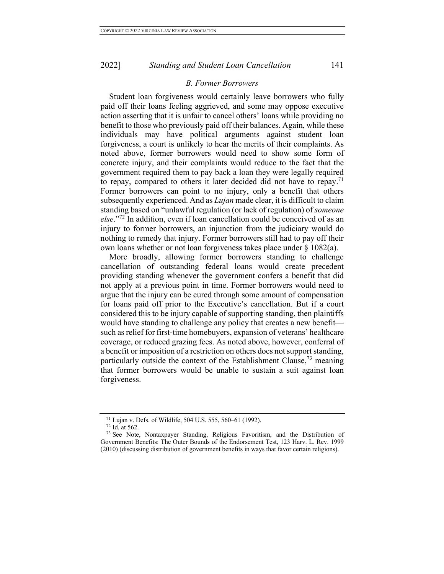## *B. Former Borrowers*

Student loan forgiveness would certainly leave borrowers who fully paid off their loans feeling aggrieved, and some may oppose executive action asserting that it is unfair to cancel others' loans while providing no benefit to those who previously paid off their balances. Again, while these individuals may have political arguments against student loan forgiveness, a court is unlikely to hear the merits of their complaints. As noted above, former borrowers would need to show some form of concrete injury, and their complaints would reduce to the fact that the government required them to pay back a loan they were legally required to repay, compared to others it later decided did not have to repay.<sup>71</sup> Former borrowers can point to no injury, only a benefit that others subsequently experienced. And as *Lujan* made clear, it is difficult to claim standing based on "unlawful regulation (or lack of regulation) of *someone else*."<sup>72</sup> In addition, even if loan cancellation could be conceived of as an injury to former borrowers, an injunction from the judiciary would do nothing to remedy that injury. Former borrowers still had to pay off their own loans whether or not loan forgiveness takes place under § 1082(a).

More broadly, allowing former borrowers standing to challenge cancellation of outstanding federal loans would create precedent providing standing whenever the government confers a benefit that did not apply at a previous point in time. Former borrowers would need to argue that the injury can be cured through some amount of compensation for loans paid off prior to the Executive's cancellation. But if a court considered this to be injury capable of supporting standing, then plaintiffs would have standing to challenge any policy that creates a new benefit such as relief for first-time homebuyers, expansion of veterans' healthcare coverage, or reduced grazing fees. As noted above, however, conferral of a benefit or imposition of a restriction on others does not support standing, particularly outside the context of the Establishment Clause,<sup>73</sup> meaning that former borrowers would be unable to sustain a suit against loan forgiveness.

<sup>71</sup> Lujan v. Defs. of Wildlife, 504 U.S. 555, 560–61 (1992).

<sup>72</sup> Id. at 562.

<sup>&</sup>lt;sup>73</sup> See Note, Nontaxpayer Standing, Religious Favoritism, and the Distribution of Government Benefits: The Outer Bounds of the Endorsement Test, 123 Harv. L. Rev. 1999 (2010) (discussing distribution of government benefits in ways that favor certain religions).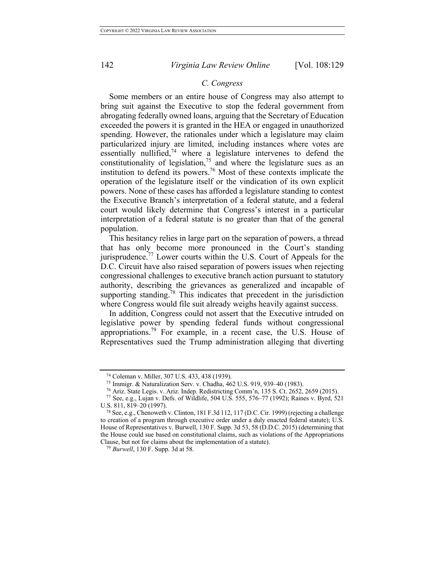## *C. Congress*

Some members or an entire house of Congress may also attempt to bring suit against the Executive to stop the federal government from abrogating federally owned loans, arguing that the Secretary of Education exceeded the powers it is granted in the HEA or engaged in unauthorized spending. However, the rationales under which a legislature may claim particularized injury are limited, including instances where votes are essentially nullified, $74$  where a legislature intervenes to defend the constitutionality of legislation,<sup>75</sup> and where the legislature sues as an institution to defend its powers.<sup>76</sup> Most of these contexts implicate the operation of the legislature itself or the vindication of its own explicit powers. None of these cases has afforded a legislature standing to contest the Executive Branch's interpretation of a federal statute, and a federal court would likely determine that Congress's interest in a particular interpretation of a federal statute is no greater than that of the general population.

This hesitancy relies in large part on the separation of powers, a thread that has only become more pronounced in the Court's standing jurisprudence.<sup>77</sup> Lower courts within the U.S. Court of Appeals for the D.C. Circuit have also raised separation of powers issues when rejecting congressional challenges to executive branch action pursuant to statutory authority, describing the grievances as generalized and incapable of supporting standing.<sup>78</sup> This indicates that precedent in the jurisdiction where Congress would file suit already weighs heavily against success.

In addition, Congress could not assert that the Executive intruded on legislative power by spending federal funds without congressional appropriations.<sup>79</sup> For example, in a recent case, the U.S. House of Representatives sued the Trump administration alleging that diverting

<sup>74</sup> Coleman v. Miller, 307 U.S. 433, 438 (1939).

<sup>75</sup> Immigr. & Naturalization Serv. v. Chadha, 462 U.S. 919, 939*–*40 (1983).

<sup>76</sup> Ariz. State Legis. v. Ariz. Indep. Redistricting Comm'n, 135 S. Ct. 2652, 2659 (2015). <sup>77</sup> See, e.g., Lujan v. Defs. of Wildlife, 504 U.S. 555, 576–77 (1992); Raines v. Byrd, 521

U.S. 811, 819–20 (1997).

<sup>&</sup>lt;sup>78</sup> See, e.g., Chenoweth v. Clinton, 181 F.3d 112, 117 (D.C. Cir. 1999) (rejecting a challenge to creation of a program through executive order under a duly enacted federal statute); U.S. House of Representatives v. Burwell, 130 F. Supp. 3d 53, 58 (D.D.C. 2015) (determining that the House could sue based on constitutional claims, such as violations of the Appropriations Clause, but not for claims about the implementation of a statute).

<sup>79</sup> *Burwell*, 130 F. Supp. 3d at 58.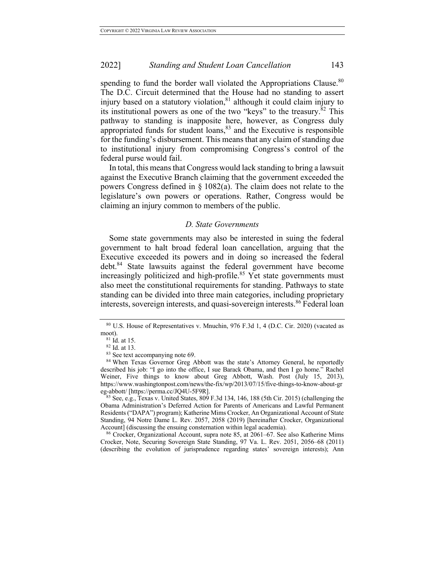spending to fund the border wall violated the Appropriations Clause.<sup>80</sup> The D.C. Circuit determined that the House had no standing to assert injury based on a statutory violation, $81$  although it could claim injury to its institutional powers as one of the two "keys" to the treasury. $82$  This pathway to standing is inapposite here, however, as Congress duly appropriated funds for student loans, $83$  and the Executive is responsible for the funding's disbursement. This means that any claim of standing due to institutional injury from compromising Congress's control of the federal purse would fail.

In total, this means that Congress would lack standing to bring a lawsuit against the Executive Branch claiming that the government exceeded the powers Congress defined in § 1082(a). The claim does not relate to the legislature's own powers or operations. Rather, Congress would be claiming an injury common to members of the public.

#### *D. State Governments*

Some state governments may also be interested in suing the federal government to halt broad federal loan cancellation, arguing that the Executive exceeded its powers and in doing so increased the federal debt.<sup>84</sup> State lawsuits against the federal government have become increasingly politicized and high-profile.<sup>85</sup> Yet state governments must also meet the constitutional requirements for standing. Pathways to state standing can be divided into three main categories, including proprietary interests, sovereign interests, and quasi-sovereign interests.<sup>86</sup> Federal loan

<sup>86</sup> Crocker, Organizational Account, supra note 85, at 2061–67. See also Katherine Mims Crocker, Note, Securing Sovereign State Standing, 97 Va. L. Rev. 2051, 2056–68 (2011) (describing the evolution of jurisprudence regarding states' sovereign interests); Ann

<sup>80</sup> U.S. House of Representatives v. Mnuchin, 976 F.3d 1, 4 (D.C. Cir. 2020) (vacated as moot).

 $81$  Id. at 15.

 $82$  Id. at 13.<br> $83$  See text accompanying note 69.

<sup>&</sup>lt;sup>84</sup> When Texas Governor Greg Abbott was the state's Attorney General, he reportedly described his job: "I go into the office, I sue Barack Obama, and then I go home." Rachel Weiner, Five things to know about Greg Abbott, Wash. Post (July 15, 2013), https://www.washingtonpost.com/news/the-fix/wp/2013/07/15/five-things-to-know-about-gr eg-abbott/ [https://perma.cc/JQ4U-5F9R].

<sup>85</sup> See, e.g., Texas v. United States, 809 F.3d 134, 146, 188 (5th Cir. 2015) (challenging the Obama Administration's Deferred Action for Parents of Americans and Lawful Permanent Residents ("DAPA") program); Katherine Mims Crocker, An Organizational Account of State Standing, 94 Notre Dame L. Rev. 2057, 2058 (2019) [hereinafter Crocker, Organizational Account] (discussing the ensuing consternation within legal academia).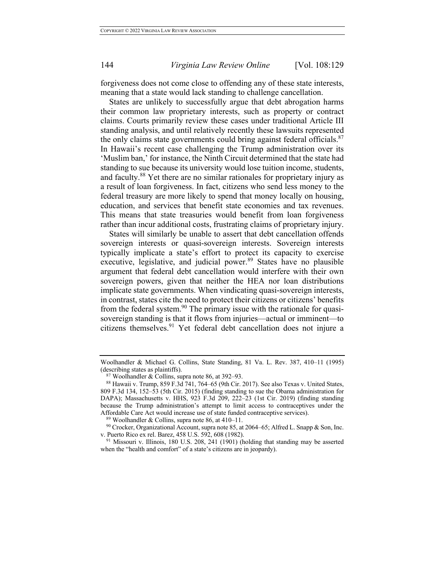forgiveness does not come close to offending any of these state interests, meaning that a state would lack standing to challenge cancellation.

States are unlikely to successfully argue that debt abrogation harms their common law proprietary interests, such as property or contract claims. Courts primarily review these cases under traditional Article III standing analysis, and until relatively recently these lawsuits represented the only claims state governments could bring against federal officials.<sup>87</sup> In Hawaii's recent case challenging the Trump administration over its 'Muslim ban,' for instance, the Ninth Circuit determined that the state had standing to sue because its university would lose tuition income, students, and faculty. <sup>88</sup> Yet there are no similar rationales for proprietary injury as a result of loan forgiveness. In fact, citizens who send less money to the federal treasury are more likely to spend that money locally on housing, education, and services that benefit state economies and tax revenues. This means that state treasuries would benefit from loan forgiveness rather than incur additional costs, frustrating claims of proprietary injury.

States will similarly be unable to assert that debt cancellation offends sovereign interests or quasi-sovereign interests. Sovereign interests typically implicate a state's effort to protect its capacity to exercise executive, legislative, and judicial power.<sup>89</sup> States have no plausible argument that federal debt cancellation would interfere with their own sovereign powers, given that neither the HEA nor loan distributions implicate state governments. When vindicating quasi-sovereign interests, in contrast, states cite the need to protect their citizens or citizens' benefits from the federal system.<sup>90</sup> The primary issue with the rationale for quasisovereign standing is that it flows from injuries—actual or imminent—to citizens themselves. <sup>91</sup> Yet federal debt cancellation does not injure a

Woolhandler & Michael G. Collins, State Standing, 81 Va. L. Rev. 387, 410–11 (1995) (describing states as plaintiffs).

<sup>&</sup>lt;sup>87</sup> Woolhandler & Collins, supra note 86, at 392–93.<br><sup>88</sup> Hawaii v. Trump, 859 F.3d 741, 764–65 (9th Cir. 2017). See also Texas v. United States, 809 F.3d 134, 152–53 (5th Cir. 2015) (finding standing to sue the Obama administration for DAPA); Massachusetts v. HHS, 923 F.3d 209, 222-23 (1st Cir. 2019) (finding standing because the Trump administration's attempt to limit access to contraceptives under the Affordable Care Act would increase use of state funded contraceptive services).

<sup>89</sup> Woolhandler & Collins, supra note 86, at 410–11.

<sup>90</sup> Crocker, Organizational Account, supra note 85, at 2064–65; Alfred L. Snapp & Son, Inc. v. Puerto Rico ex rel. Barez, 458 U.S. 592, 608 (1982).

<sup>91</sup> Missouri v. Illinois, 180 U.S. 208, 241 (1901) (holding that standing may be asserted when the "health and comfort" of a state's citizens are in jeopardy).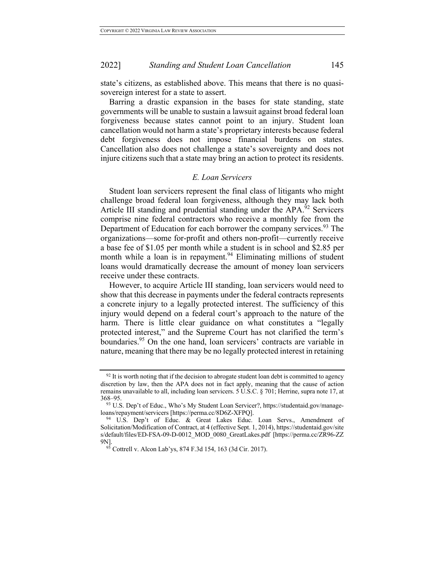state's citizens, as established above. This means that there is no quasisovereign interest for a state to assert.

Barring a drastic expansion in the bases for state standing, state governments will be unable to sustain a lawsuit against broad federal loan forgiveness because states cannot point to an injury. Student loan cancellation would not harm a state's proprietary interests because federal debt forgiveness does not impose financial burdens on states. Cancellation also does not challenge a state's sovereignty and does not injure citizens such that a state may bring an action to protect its residents.

#### *E. Loan Servicers*

Student loan servicers represent the final class of litigants who might challenge broad federal loan forgiveness, although they may lack both Article III standing and prudential standing under the APA.<sup>92</sup> Servicers comprise nine federal contractors who receive a monthly fee from the Department of Education for each borrower the company services.<sup>93</sup> The organizations—some for-profit and others non-profit—currently receive a base fee of \$1.05 per month while a student is in school and \$2.85 per month while a loan is in repayment.<sup>94</sup> Eliminating millions of student loans would dramatically decrease the amount of money loan servicers receive under these contracts.

However, to acquire Article III standing, loan servicers would need to show that this decrease in payments under the federal contracts represents a concrete injury to a legally protected interest. The sufficiency of this injury would depend on a federal court's approach to the nature of the harm. There is little clear guidance on what constitutes a "legally protected interest," and the Supreme Court has not clarified the term's boundaries.<sup>95</sup> On the one hand, loan servicers' contracts are variable in nature, meaning that there may be no legally protected interest in retaining

 $92$  It is worth noting that if the decision to abrogate student loan debt is committed to agency discretion by law, then the APA does not in fact apply, meaning that the cause of action remains unavailable to all, including loan servicers. 5 U.S.C. § 701; Herrine, supra note 17, at 368–95.

<sup>93</sup> U.S. Dep't of Educ., Who's My Student Loan Servicer?, https://studentaid.gov/manageloans/repayment/servicers [https://perma.cc/8D6Z-XFPQ].

<sup>&</sup>lt;sup>94</sup> U.S. Dep't of Educ. & Great Lakes Educ. Loan Servs., Amendment of Solicitation/Modification of Contract, at 4 (effective Sept. 1, 2014), https://studentaid.gov/site s/default/files/ED-FSA-09-D-0012\_MOD\_0080\_GreatLakes.pdf [https://perma.cc/ZR96-ZZ 9N].

<sup>&</sup>lt;sup>95</sup> Cottrell v. Alcon Lab'ys, 874 F.3d 154, 163 (3d Cir. 2017).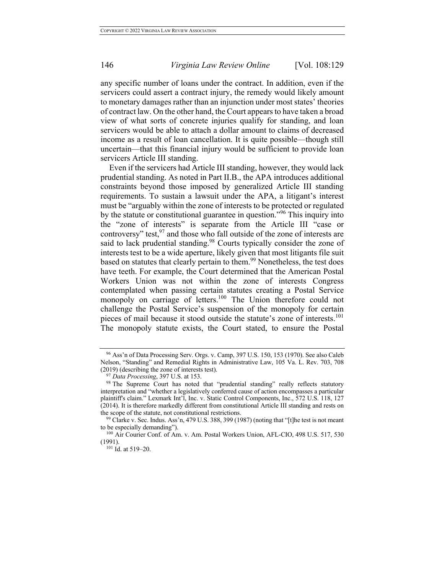any specific number of loans under the contract. In addition, even if the servicers could assert a contract injury, the remedy would likely amount to monetary damages rather than an injunction under most states' theories of contract law. On the other hand, the Court appears to have taken a broad view of what sorts of concrete injuries qualify for standing, and loan servicers would be able to attach a dollar amount to claims of decreased income as a result of loan cancellation. It is quite possible—though still uncertain—that this financial injury would be sufficient to provide loan servicers Article III standing.

Even if the servicers had Article III standing, however, they would lack prudential standing. As noted in Part II.B., the APA introduces additional constraints beyond those imposed by generalized Article III standing requirements. To sustain a lawsuit under the APA, a litigant's interest must be "arguably within the zone of interests to be protected or regulated by the statute or constitutional guarantee in question.<sup>"96</sup> This inquiry into the "zone of interests" is separate from the Article III "case or controversy" test, <sup>97</sup> and those who fall outside of the zone of interests are said to lack prudential standing.<sup>98</sup> Courts typically consider the zone of interests test to be a wide aperture, likely given that most litigants file suit based on statutes that clearly pertain to them.<sup>99</sup> Nonetheless, the test does have teeth. For example, the Court determined that the American Postal Workers Union was not within the zone of interests Congress contemplated when passing certain statutes creating a Postal Service monopoly on carriage of letters.<sup>100</sup> The Union therefore could not challenge the Postal Service's suspension of the monopoly for certain pieces of mail because it stood outside the statute's zone of interests. 101 The monopoly statute exists, the Court stated, to ensure the Postal

<sup>96</sup> Ass'n of Data Processing Serv. Orgs. v. Camp, 397 U.S. 150, 153 (1970). See also Caleb Nelson, "Standing" and Remedial Rights in Administrative Law, 105 Va. L. Rev. 703, 708 (2019) (describing the zone of interests test).

<sup>97</sup> *Data Processing*, 397 U.S. at 153.

<sup>&</sup>lt;sup>98</sup> The Supreme Court has noted that "prudential standing" really reflects statutory interpretation and "whether a legislatively conferred cause of action encompasses a particular plaintiff's claim." Lexmark Int'l, Inc. v. Static Control Components, Inc., 572 U.S. 118, 127 (2014). It is therefore markedly different from constitutional Article III standing and rests on the scope of the statute, not constitutional restrictions.

 $99$  Clarke v. Sec. Indus. Ass'n, 479 U.S. 388, 399 (1987) (noting that "[t]he test is not meant to be especially demanding").

<sup>&</sup>lt;sup>100</sup> Air Courier Conf. of Am. v. Am. Postal Workers Union, AFL-CIO, 498 U.S. 517, 530 (1991).

<sup>&</sup>lt;sup>101</sup> Id. at 519-20.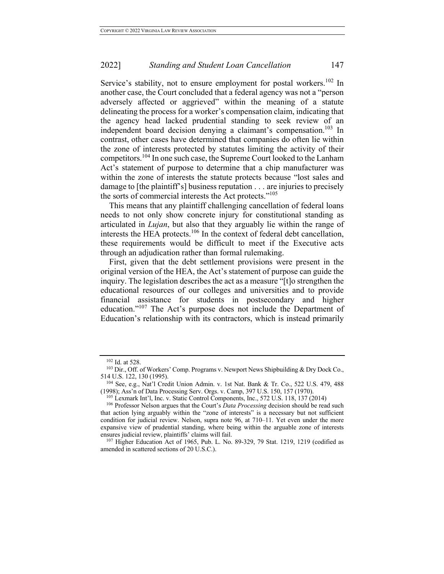Service's stability, not to ensure employment for postal workers.<sup>102</sup> In another case, the Court concluded that a federal agency was not a "person adversely affected or aggrieved" within the meaning of a statute delineating the process for a worker's compensation claim, indicating that the agency head lacked prudential standing to seek review of an independent board decision denying a claimant's compensation.<sup>103</sup> In contrast, other cases have determined that companies do often lie within the zone of interests protected by statutes limiting the activity of their competitors.<sup>104</sup> In one such case, the Supreme Court looked to the Lanham Act's statement of purpose to determine that a chip manufacturer was within the zone of interests the statute protects because "lost sales and damage to [the plaintiff's] business reputation . . . are injuries to precisely the sorts of commercial interests the Act protects."<sup>105</sup>

This means that any plaintiff challenging cancellation of federal loans needs to not only show concrete injury for constitutional standing as articulated in *Lujan*, but also that they arguably lie within the range of interests the HEA protects. <sup>106</sup> In the context of federal debt cancellation, these requirements would be difficult to meet if the Executive acts through an adjudication rather than formal rulemaking.

First, given that the debt settlement provisions were present in the original version of the HEA, the Act's statement of purpose can guide the inquiry. The legislation describes the act as a measure "[t]o strengthen the educational resources of our colleges and universities and to provide financial assistance for students in postsecondary and higher education."<sup>107</sup> The Act's purpose does not include the Department of Education's relationship with its contractors, which is instead primarily

<sup>102</sup> Id. at 528.

<sup>&</sup>lt;sup>103</sup> Dir., Off. of Workers' Comp. Programs v. Newport News Shipbuilding & Dry Dock Co., 514 U.S. 122, 130 (1995).

<sup>104</sup> See, e.g., Nat'l Credit Union Admin. v. 1st Nat. Bank & Tr. Co., 522 U.S. 479, 488 (1998); Ass'n of Data Processing Serv. Orgs. v. Camp, 397 U.S. 150, 157 (1970).

 $105$  Lexmark Int'l, Inc. v. Static Control Components, Inc., 572 U.S. 118, 137 (2014)

<sup>106</sup> Professor Nelson argues that the Court's *Data Processing* decision should be read such that action lying arguably within the "zone of interests" is a necessary but not sufficient condition for judicial review. Nelson, supra note 96, at 710–11. Yet even under the more expansive view of prudential standing, where being within the arguable zone of interests ensures judicial review, plaintiffs' claims will fail.

<sup>107</sup> Higher Education Act of 1965, Pub. L. No. 89-329, 79 Stat. 1219, 1219 (codified as amended in scattered sections of 20 U.S.C.).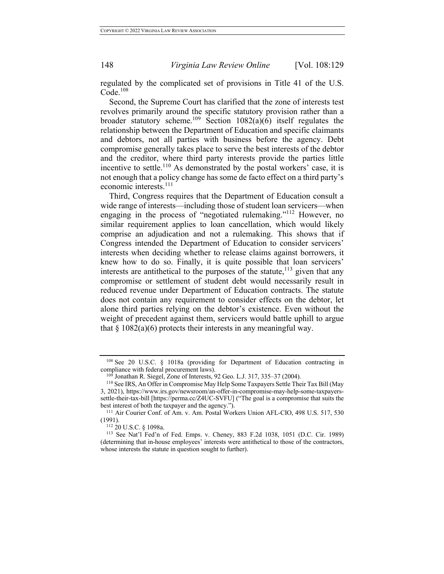regulated by the complicated set of provisions in Title 41 of the U.S.  $Code.<sup>108</sup>$ 

Second, the Supreme Court has clarified that the zone of interests test revolves primarily around the specific statutory provision rather than a broader statutory scheme.<sup>109</sup> Section  $1082(a)(6)$  itself regulates the relationship between the Department of Education and specific claimants and debtors, not all parties with business before the agency. Debt compromise generally takes place to serve the best interests of the debtor and the creditor, where third party interests provide the parties little incentive to settle.<sup>110</sup> As demonstrated by the postal workers' case, it is not enough that a policy change has some de facto effect on a third party's economic interests.<sup>111</sup>

Third, Congress requires that the Department of Education consult a wide range of interests—including those of student loan servicers—when engaging in the process of "negotiated rulemaking."<sup>112</sup> However, no similar requirement applies to loan cancellation, which would likely comprise an adjudication and not a rulemaking. This shows that if Congress intended the Department of Education to consider servicers' interests when deciding whether to release claims against borrowers, it knew how to do so. Finally, it is quite possible that loan servicers' interests are antithetical to the purposes of the statute,  $^{113}$  given that any compromise or settlement of student debt would necessarily result in reduced revenue under Department of Education contracts. The statute does not contain any requirement to consider effects on the debtor, let alone third parties relying on the debtor's existence. Even without the weight of precedent against them, servicers would battle uphill to argue that  $\S 1082(a)(6)$  protects their interests in any meaningful way.

<sup>108</sup> See 20 U.S.C. § 1018a (providing for Department of Education contracting in compliance with federal procurement laws).<br><sup>109</sup> Jonathan R. Siegel, Zone of Interests, 92 Geo. L.J. 317, 335–37 (2004).

<sup>110</sup> See IRS, An Offer in Compromise May Help Some Taxpayers Settle Their Tax Bill (May 3, 2021), https://www.irs.gov/newsroom/an-offer-in-compromise-may-help-some-taxpayerssettle-their-tax-bill [https://perma.cc/Z4UC-SVFU] ("The goal is a compromise that suits the best interest of both the taxpayer and the agency.").

<sup>&</sup>lt;sup>111</sup> Air Courier Conf. of Am. v. Am. Postal Workers Union AFL-CIO, 498 U.S. 517, 530 (1991).

<sup>112</sup> 20 U.S.C. § 1098a.

<sup>113</sup> See Nat'l Fed'n of Fed. Emps. v. Cheney, 883 F.2d 1038, 1051 (D.C. Cir. 1989) (determining that in-house employees' interests were antithetical to those of the contractors, whose interests the statute in question sought to further).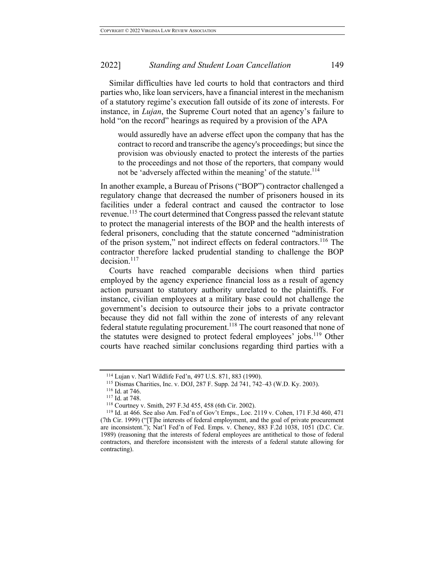Similar difficulties have led courts to hold that contractors and third parties who, like loan servicers, have a financial interest in the mechanism of a statutory regime's execution fall outside of its zone of interests. For instance, in *Lujan*, the Supreme Court noted that an agency's failure to hold "on the record" hearings as required by a provision of the APA

would assuredly have an adverse effect upon the company that has the contract to record and transcribe the agency's proceedings; but since the provision was obviously enacted to protect the interests of the parties to the proceedings and not those of the reporters, that company would not be 'adversely affected within the meaning' of the statute.<sup>114</sup>

In another example, a Bureau of Prisons ("BOP") contractor challenged a regulatory change that decreased the number of prisoners housed in its facilities under a federal contract and caused the contractor to lose revenue.<sup>115</sup> The court determined that Congress passed the relevant statute to protect the managerial interests of the BOP and the health interests of federal prisoners, concluding that the statute concerned "administration of the prison system," not indirect effects on federal contractors.<sup>116</sup> The contractor therefore lacked prudential standing to challenge the BOP  $decision.<sup>117</sup>$ 

Courts have reached comparable decisions when third parties employed by the agency experience financial loss as a result of agency action pursuant to statutory authority unrelated to the plaintiffs. For instance, civilian employees at a military base could not challenge the government's decision to outsource their jobs to a private contractor because they did not fall within the zone of interests of any relevant federal statute regulating procurement.118 The court reasoned that none of the statutes were designed to protect federal employees' jobs.<sup>119</sup> Other courts have reached similar conclusions regarding third parties with a

<sup>114</sup> Lujan v. Nat'l Wildlife Fed'n, 497 U.S. 871, 883 (1990).

<sup>115</sup> Dismas Charities, Inc. v. DOJ, 287 F. Supp. 2d 741, 742–43 (W.D. Ky. 2003).

<sup>116</sup> Id. at 746.

<sup>117</sup> Id. at 748.

<sup>118</sup> Courtney v. Smith, 297 F.3d 455, 458 (6th Cir. 2002).

<sup>119</sup> Id. at 466. See also Am. Fed'n of Gov't Emps., Loc. 2119 v. Cohen, 171 F.3d 460, 471 (7th Cir. 1999) ("[T]he interests of federal employment, and the goal of private procurement are inconsistent."); Nat'l Fed'n of Fed. Emps. v. Cheney, 883 F.2d 1038, 1051 (D.C. Cir. 1989) (reasoning that the interests of federal employees are antithetical to those of federal contractors, and therefore inconsistent with the interests of a federal statute allowing for contracting).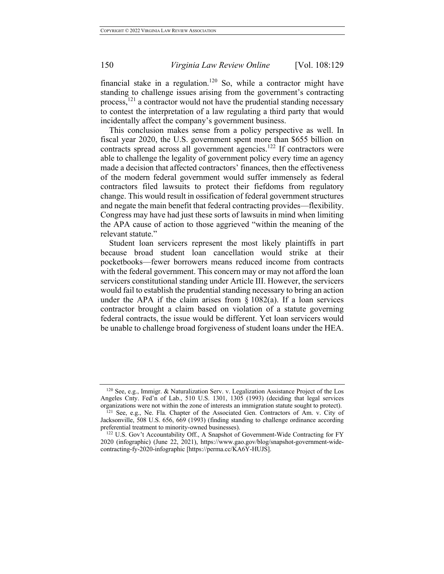financial stake in a regulation.<sup>120</sup> So, while a contractor might have standing to challenge issues arising from the government's contracting process, $121$  a contractor would not have the prudential standing necessary to contest the interpretation of a law regulating a third party that would incidentally affect the company's government business.

This conclusion makes sense from a policy perspective as well. In fiscal year 2020, the U.S. government spent more than \$655 billion on contracts spread across all government agencies.<sup>122</sup> If contractors were able to challenge the legality of government policy every time an agency made a decision that affected contractors' finances, then the effectiveness of the modern federal government would suffer immensely as federal contractors filed lawsuits to protect their fiefdoms from regulatory change. This would result in ossification of federal government structures and negate the main benefit that federal contracting provides—flexibility. Congress may have had just these sorts of lawsuits in mind when limiting the APA cause of action to those aggrieved "within the meaning of the relevant statute."

Student loan servicers represent the most likely plaintiffs in part because broad student loan cancellation would strike at their pocketbooks—fewer borrowers means reduced income from contracts with the federal government. This concern may or may not afford the loan servicers constitutional standing under Article III. However, the servicers would fail to establish the prudential standing necessary to bring an action under the APA if the claim arises from  $\S$  1082(a). If a loan services contractor brought a claim based on violation of a statute governing federal contracts, the issue would be different. Yet loan servicers would be unable to challenge broad forgiveness of student loans under the HEA.

 $120$  See, e.g., Immigr. & Naturalization Serv. v. Legalization Assistance Project of the Los Angeles Cnty. Fed'n of Lab., 510 U.S. 1301, 1305 (1993) (deciding that legal services organizations were not within the zone of interests an immigration statute sought to protect).

<sup>&</sup>lt;sup>121</sup> See, e.g., Ne. Fla. Chapter of the Associated Gen. Contractors of Am. v. City of Jacksonville, 508 U.S. 656, 669 (1993) (finding standing to challenge ordinance according preferential treatment to minority-owned businesses).

<sup>122</sup> U.S. Gov't Accountability Off., A Snapshot of Government-Wide Contracting for FY 2020 (infographic) (June 22, 2021), https://www.gao.gov/blog/snapshot-government-widecontracting-fy-2020-infographic [https://perma.cc/KA6Y-HUJS].